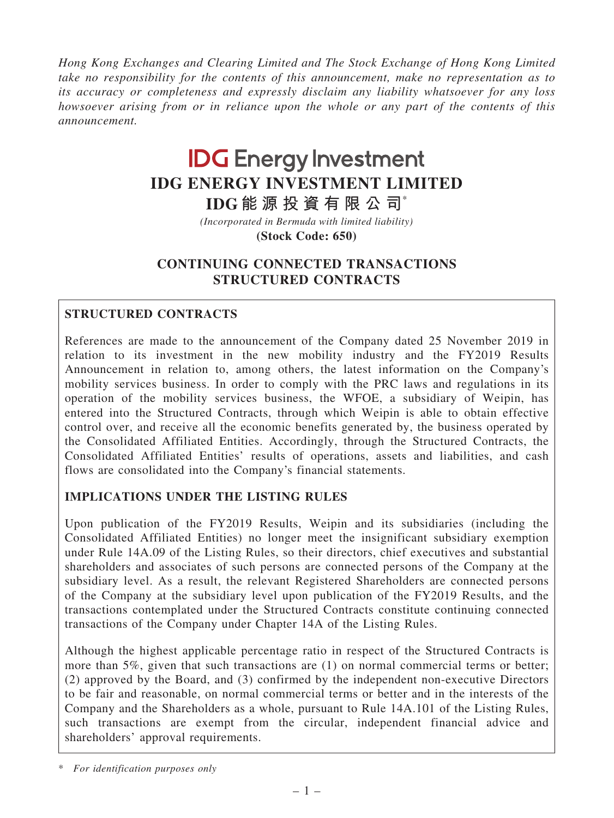*Hong Kong Exchanges and Clearing Limited and The Stock Exchange of Hong Kong Limited take no responsibility for the contents of this announcement, make no representation as to its accuracy or completeness and expressly disclaim any liability whatsoever for any loss howsoever arising from or in reliance upon the whole or any part of the contents of this announcement.*

# **IDG** Energy Investment **IDG ENERGY INVESTMENT LIMITED**

**IDG 能 源 投 資 有 限 公 司**\*

**(Stock Code: 650)** *(Incorporated in Bermuda with limited liability)*

# CONTINUING CONNECTED TRANSACTIONS STRUCTURED CONTRACTS

# STRUCTURED CONTRACTS

References are made to the announcement of the Company dated 25 November 2019 in relation to its investment in the new mobility industry and the FY2019 Results Announcement in relation to, among others, the latest information on the Company's mobility services business. In order to comply with the PRC laws and regulations in its operation of the mobility services business, the WFOE, a subsidiary of Weipin, has entered into the Structured Contracts, through which Weipin is able to obtain effective control over, and receive all the economic benefits generated by, the business operated by the Consolidated Affiliated Entities. Accordingly, through the Structured Contracts, the Consolidated Affiliated Entities' results of operations, assets and liabilities, and cash flows are consolidated into the Company's financial statements.

# IMPLICATIONS UNDER THE LISTING RULES

Upon publication of the FY2019 Results, Weipin and its subsidiaries (including the Consolidated Affiliated Entities) no longer meet the insignificant subsidiary exemption under Rule 14A.09 of the Listing Rules, so their directors, chief executives and substantial shareholders and associates of such persons are connected persons of the Company at the subsidiary level. As a result, the relevant Registered Shareholders are connected persons of the Company at the subsidiary level upon publication of the FY2019 Results, and the transactions contemplated under the Structured Contracts constitute continuing connected transactions of the Company under Chapter 14A of the Listing Rules.

Although the highest applicable percentage ratio in respect of the Structured Contracts is more than 5%, given that such transactions are (1) on normal commercial terms or better; (2) approved by the Board, and (3) confirmed by the independent non-executive Directors to be fair and reasonable, on normal commercial terms or better and in the interests of the Company and the Shareholders as a whole, pursuant to Rule 14A.101 of the Listing Rules, such transactions are exempt from the circular, independent financial advice and shareholders' approval requirements.

\* *For identification purposes only*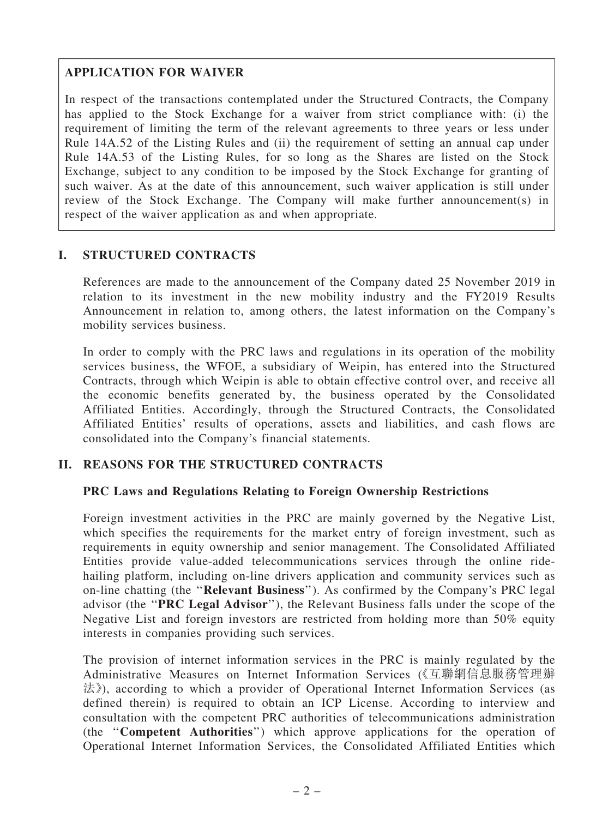# APPLICATION FOR WAIVER

In respect of the transactions contemplated under the Structured Contracts, the Company has applied to the Stock Exchange for a waiver from strict compliance with: (i) the requirement of limiting the term of the relevant agreements to three years or less under Rule 14A.52 of the Listing Rules and (ii) the requirement of setting an annual cap under Rule 14A.53 of the Listing Rules, for so long as the Shares are listed on the Stock Exchange, subject to any condition to be imposed by the Stock Exchange for granting of such waiver. As at the date of this announcement, such waiver application is still under review of the Stock Exchange. The Company will make further announcement(s) in respect of the waiver application as and when appropriate.

## I. STRUCTURED CONTRACTS

References are made to the announcement of the Company dated 25 November 2019 in relation to its investment in the new mobility industry and the FY2019 Results Announcement in relation to, among others, the latest information on the Company's mobility services business.

In order to comply with the PRC laws and regulations in its operation of the mobility services business, the WFOE, a subsidiary of Weipin, has entered into the Structured Contracts, through which Weipin is able to obtain effective control over, and receive all the economic benefits generated by, the business operated by the Consolidated Affiliated Entities. Accordingly, through the Structured Contracts, the Consolidated Affiliated Entities' results of operations, assets and liabilities, and cash flows are consolidated into the Company's financial statements.

## II. REASONS FOR THE STRUCTURED CONTRACTS

## PRC Laws and Regulations Relating to Foreign Ownership Restrictions

Foreign investment activities in the PRC are mainly governed by the Negative List, which specifies the requirements for the market entry of foreign investment, such as requirements in equity ownership and senior management. The Consolidated Affiliated Entities provide value-added telecommunications services through the online ridehailing platform, including on-line drivers application and community services such as on-line chatting (the ''Relevant Business''). As confirmed by the Company's PRC legal advisor (the ''PRC Legal Advisor''), the Relevant Business falls under the scope of the Negative List and foreign investors are restricted from holding more than 50% equity interests in companies providing such services.

The provision of internet information services in the PRC is mainly regulated by the Administrative Measures on Internet Information Services (《互聯網信息服務管理辦 法》), according to which a provider of Operational Internet Information Services (as defined therein) is required to obtain an ICP License. According to interview and consultation with the competent PRC authorities of telecommunications administration (the ''Competent Authorities'') which approve applications for the operation of Operational Internet Information Services, the Consolidated Affiliated Entities which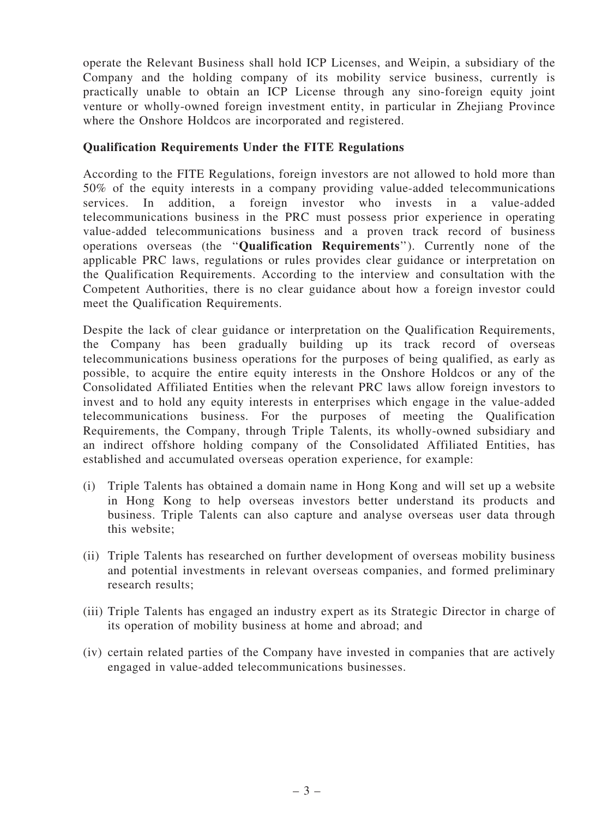operate the Relevant Business shall hold ICP Licenses, and Weipin, a subsidiary of the Company and the holding company of its mobility service business, currently is practically unable to obtain an ICP License through any sino-foreign equity joint venture or wholly-owned foreign investment entity, in particular in Zhejiang Province where the Onshore Holdcos are incorporated and registered.

## Qualification Requirements Under the FITE Regulations

According to the FITE Regulations, foreign investors are not allowed to hold more than 50% of the equity interests in a company providing value-added telecommunications services. In addition, a foreign investor who invests in a value-added telecommunications business in the PRC must possess prior experience in operating value-added telecommunications business and a proven track record of business operations overseas (the ''Qualification Requirements''). Currently none of the applicable PRC laws, regulations or rules provides clear guidance or interpretation on the Qualification Requirements. According to the interview and consultation with the Competent Authorities, there is no clear guidance about how a foreign investor could meet the Qualification Requirements.

Despite the lack of clear guidance or interpretation on the Qualification Requirements, the Company has been gradually building up its track record of overseas telecommunications business operations for the purposes of being qualified, as early as possible, to acquire the entire equity interests in the Onshore Holdcos or any of the Consolidated Affiliated Entities when the relevant PRC laws allow foreign investors to invest and to hold any equity interests in enterprises which engage in the value-added telecommunications business. For the purposes of meeting the Qualification Requirements, the Company, through Triple Talents, its wholly-owned subsidiary and an indirect offshore holding company of the Consolidated Affiliated Entities, has established and accumulated overseas operation experience, for example:

- (i) Triple Talents has obtained a domain name in Hong Kong and will set up a website in Hong Kong to help overseas investors better understand its products and business. Triple Talents can also capture and analyse overseas user data through this website;
- (ii) Triple Talents has researched on further development of overseas mobility business and potential investments in relevant overseas companies, and formed preliminary research results;
- (iii) Triple Talents has engaged an industry expert as its Strategic Director in charge of its operation of mobility business at home and abroad; and
- (iv) certain related parties of the Company have invested in companies that are actively engaged in value-added telecommunications businesses.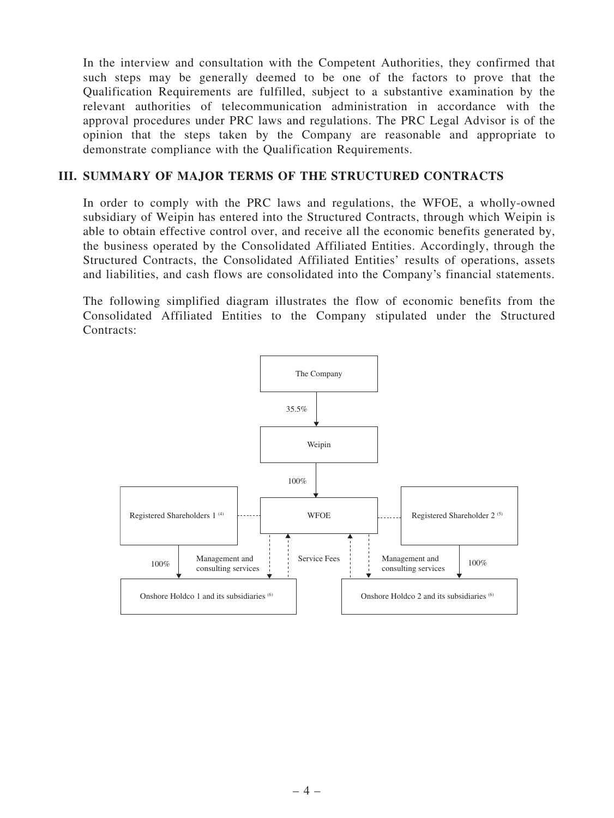In the interview and consultation with the Competent Authorities, they confirmed that such steps may be generally deemed to be one of the factors to prove that the Qualification Requirements are fulfilled, subject to a substantive examination by the relevant authorities of telecommunication administration in accordance with the approval procedures under PRC laws and regulations. The PRC Legal Advisor is of the opinion that the steps taken by the Company are reasonable and appropriate to demonstrate compliance with the Qualification Requirements.

## III. SUMMARY OF MAJOR TERMS OF THE STRUCTURED CONTRACTS

In order to comply with the PRC laws and regulations, the WFOE, a wholly-owned subsidiary of Weipin has entered into the Structured Contracts, through which Weipin is able to obtain effective control over, and receive all the economic benefits generated by, the business operated by the Consolidated Affiliated Entities. Accordingly, through the Structured Contracts, the Consolidated Affiliated Entities' results of operations, assets and liabilities, and cash flows are consolidated into the Company's financial statements.

The following simplified diagram illustrates the flow of economic benefits from the Consolidated Affiliated Entities to the Company stipulated under the Structured Contracts:

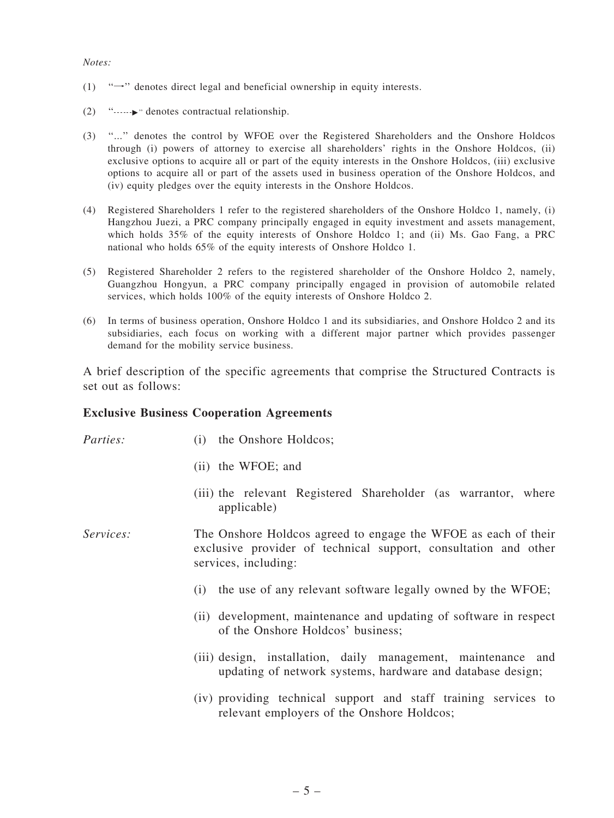#### *Notes:*

- (1)  $\rightarrow$ " $\rightarrow$ " denotes direct legal and beneficial ownership in equity interests.
- (2) '' "'' denotes contractual relationship.
- (3) ''...'' denotes the control by WFOE over the Registered Shareholders and the Onshore Holdcos through (i) powers of attorney to exercise all shareholders' rights in the Onshore Holdcos, (ii) exclusive options to acquire all or part of the equity interests in the Onshore Holdcos, (iii) exclusive options to acquire all or part of the assets used in business operation of the Onshore Holdcos, and (iv) equity pledges over the equity interests in the Onshore Holdcos.
- (4) Registered Shareholders 1 refer to the registered shareholders of the Onshore Holdco 1, namely, (i) Hangzhou Juezi, a PRC company principally engaged in equity investment and assets management, which holds 35% of the equity interests of Onshore Holdco 1; and (ii) Ms. Gao Fang, a PRC national who holds 65% of the equity interests of Onshore Holdco 1.
- (5) Registered Shareholder 2 refers to the registered shareholder of the Onshore Holdco 2, namely, Guangzhou Hongyun, a PRC company principally engaged in provision of automobile related services, which holds 100% of the equity interests of Onshore Holdco 2.
- (6) In terms of business operation, Onshore Holdco 1 and its subsidiaries, and Onshore Holdco 2 and its subsidiaries, each focus on working with a different major partner which provides passenger demand for the mobility service business.

A brief description of the specific agreements that comprise the Structured Contracts is set out as follows:

#### Exclusive Business Cooperation Agreements

| Parties:  | the Onshore Holdcos;<br>(1)                                                                                                                               |
|-----------|-----------------------------------------------------------------------------------------------------------------------------------------------------------|
|           | (ii) the WFOE; and                                                                                                                                        |
|           | (iii) the relevant Registered Shareholder (as warrantor, where<br>applicable)                                                                             |
| Services: | The Onshore Holdcos agreed to engage the WFOE as each of their<br>exclusive provider of technical support, consultation and other<br>services, including: |
|           | the use of any relevant software legally owned by the WFOE;<br>(i)                                                                                        |
|           | (ii) development, maintenance and updating of software in respect<br>of the Onshore Holdcos' business;                                                    |
|           | (iii) design, installation, daily management, maintenance and<br>updating of network systems, hardware and database design;                               |
|           | (iv) providing tooppige support and staff treining services to                                                                                            |

(iv) providing technical support and staff training services to relevant employers of the Onshore Holdcos;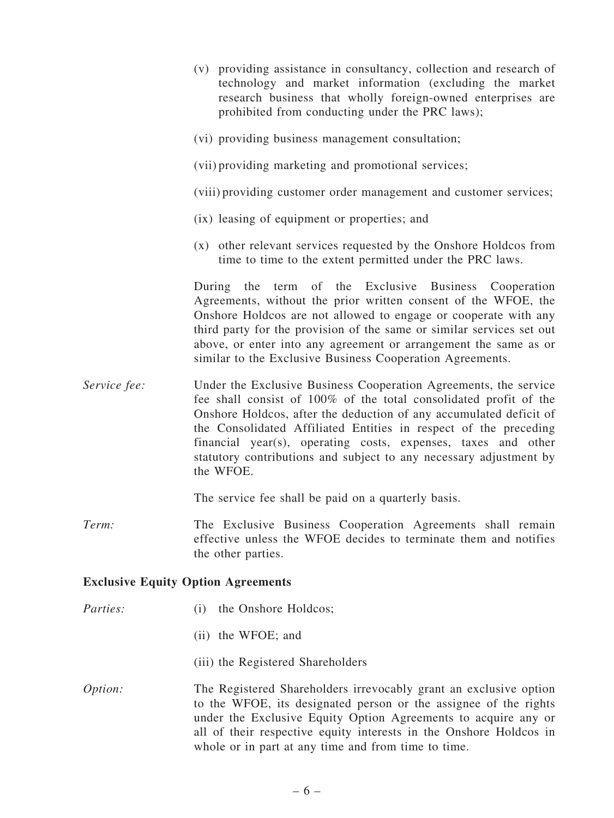- (v) providing assistance in consultancy, collection and research of technology and market information (excluding the market research business that wholly foreign-owned enterprises are prohibited from conducting under the PRC laws);
- (vi) providing business management consultation;
- (vii) providing marketing and promotional services;
- (viii) providing customer order management and customer services;
- (ix) leasing of equipment or properties; and
- (x) other relevant services requested by the Onshore Holdcos from time to time to the extent permitted under the PRC laws.

During the term of the Exclusive Business Cooperation Agreements, without the prior written consent of the WFOE, the Onshore Holdcos are not allowed to engage or cooperate with any third party for the provision of the same or similar services set out above, or enter into any agreement or arrangement the same as or similar to the Exclusive Business Cooperation Agreements.

*Service fee:* Under the Exclusive Business Cooperation Agreements, the service fee shall consist of 100% of the total consolidated profit of the Onshore Holdcos, after the deduction of any accumulated deficit of the Consolidated Affiliated Entities in respect of the preceding financial year(s), operating costs, expenses, taxes and other statutory contributions and subject to any necessary adjustment by the WFOE.

The service fee shall be paid on a quarterly basis.

*Term:* The Exclusive Business Cooperation Agreements shall remain effective unless the WFOE decides to terminate them and notifies the other parties.

#### Exclusive Equity Option Agreements

- *Parties:* (i) the Onshore Holdcos;
	- (ii) the WFOE; and
	- (iii) the Registered Shareholders
- *Option:* The Registered Shareholders irrevocably grant an exclusive option to the WFOE, its designated person or the assignee of the rights under the Exclusive Equity Option Agreements to acquire any or all of their respective equity interests in the Onshore Holdcos in whole or in part at any time and from time to time.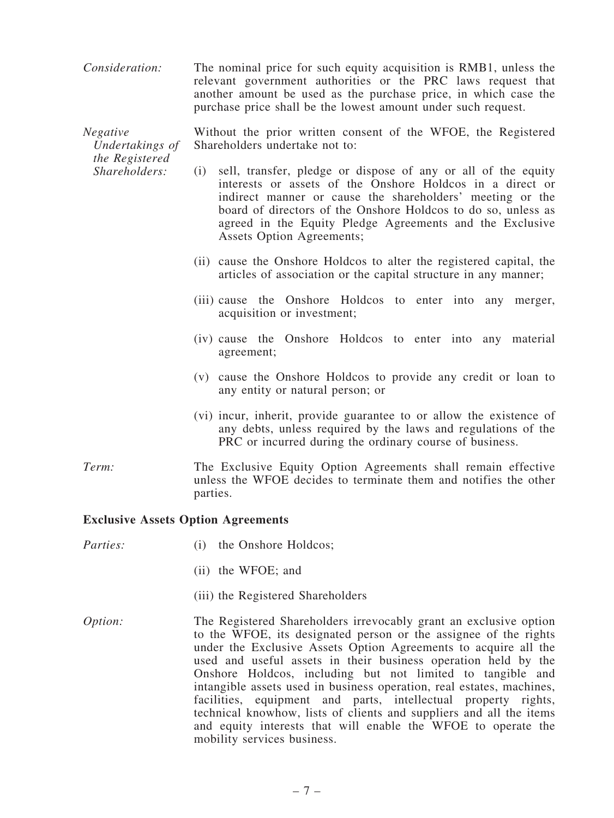*Consideration:* The nominal price for such equity acquisition is RMB1, unless the relevant government authorities or the PRC laws request that another amount be used as the purchase price, in which case the purchase price shall be the lowest amount under such request.

*Negative Undertakings of the Registered* Without the prior written consent of the WFOE, the Registered Shareholders undertake not to:

- (i) sell, transfer, pledge or dispose of any or all of the equity interests or assets of the Onshore Holdcos in a direct or indirect manner or cause the shareholders' meeting or the board of directors of the Onshore Holdcos to do so, unless as agreed in the Equity Pledge Agreements and the Exclusive Assets Option Agreements;
	- (ii) cause the Onshore Holdcos to alter the registered capital, the articles of association or the capital structure in any manner;
	- (iii) cause the Onshore Holdcos to enter into any merger, acquisition or investment;
	- (iv) cause the Onshore Holdcos to enter into any material agreement;
	- (v) cause the Onshore Holdcos to provide any credit or loan to any entity or natural person; or
	- (vi) incur, inherit, provide guarantee to or allow the existence of any debts, unless required by the laws and regulations of the PRC or incurred during the ordinary course of business.
- *Term:* The Exclusive Equity Option Agreements shall remain effective unless the WFOE decides to terminate them and notifies the other parties.

#### Exclusive Assets Option Agreements

*Shareholders:*

- *Parties:* (i) the Onshore Holdcos;
	- (ii) the WFOE; and
	- (iii) the Registered Shareholders
- *Option:* The Registered Shareholders irrevocably grant an exclusive option to the WFOE, its designated person or the assignee of the rights under the Exclusive Assets Option Agreements to acquire all the used and useful assets in their business operation held by the Onshore Holdcos, including but not limited to tangible and intangible assets used in business operation, real estates, machines, facilities, equipment and parts, intellectual property rights, technical knowhow, lists of clients and suppliers and all the items and equity interests that will enable the WFOE to operate the mobility services business.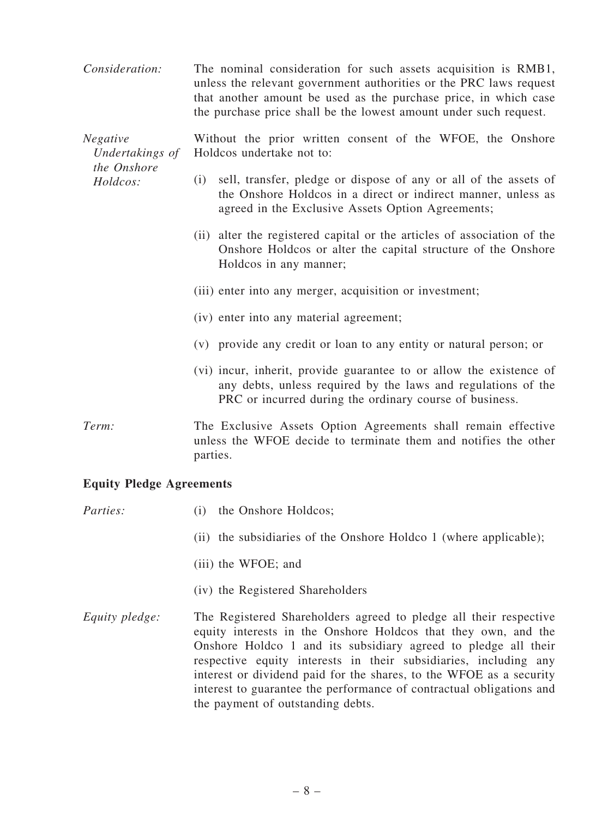*Consideration:* The nominal consideration for such assets acquisition is RMB1, unless the relevant government authorities or the PRC laws request that another amount be used as the purchase price, in which case the purchase price shall be the lowest amount under such request.

*Negative Undertakings of the Onshore* Without the prior written consent of the WFOE, the Onshore Holdcos undertake not to:

- (i) sell, transfer, pledge or dispose of any or all of the assets of the Onshore Holdcos in a direct or indirect manner, unless as agreed in the Exclusive Assets Option Agreements;
- (ii) alter the registered capital or the articles of association of the Onshore Holdcos or alter the capital structure of the Onshore Holdcos in any manner;
- (iii) enter into any merger, acquisition or investment;
- (iv) enter into any material agreement;
- (v) provide any credit or loan to any entity or natural person; or
- (vi) incur, inherit, provide guarantee to or allow the existence of any debts, unless required by the laws and regulations of the PRC or incurred during the ordinary course of business.
- *Term:* The Exclusive Assets Option Agreements shall remain effective unless the WFOE decide to terminate them and notifies the other parties.

#### Equity Pledge Agreements

*Holdcos:*

| Parties:       | the Onshore Holdcos;<br>(1)                                                                                                                                                                                                                                                                                                                                                                                                                                   |
|----------------|---------------------------------------------------------------------------------------------------------------------------------------------------------------------------------------------------------------------------------------------------------------------------------------------------------------------------------------------------------------------------------------------------------------------------------------------------------------|
|                | (ii) the subsidiaries of the Onshore Holdco 1 (where applicable);                                                                                                                                                                                                                                                                                                                                                                                             |
|                | (iii) the WFOE; and                                                                                                                                                                                                                                                                                                                                                                                                                                           |
|                | (iv) the Registered Shareholders                                                                                                                                                                                                                                                                                                                                                                                                                              |
| Equity pledge: | The Registered Shareholders agreed to pledge all their respective<br>equity interests in the Onshore Holdcos that they own, and the<br>Onshore Holdco 1 and its subsidiary agreed to pledge all their<br>respective equity interests in their subsidiaries, including any<br>interest or dividend paid for the shares, to the WFOE as a security<br>interest to guarantee the performance of contractual obligations and<br>the payment of outstanding debts. |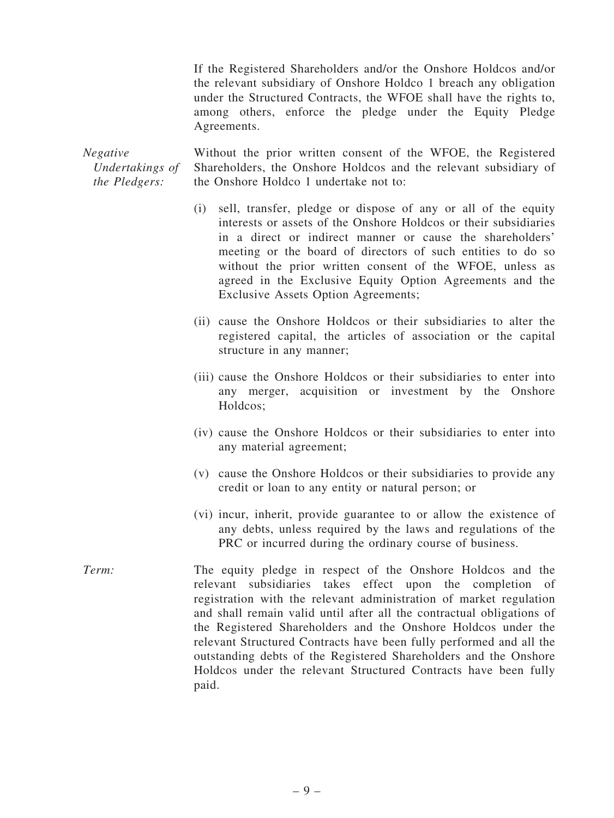If the Registered Shareholders and/or the Onshore Holdcos and/or the relevant subsidiary of Onshore Holdco 1 breach any obligation under the Structured Contracts, the WFOE shall have the rights to, among others, enforce the pledge under the Equity Pledge Agreements.

*Negative Undertakings of the Pledgers:*

Without the prior written consent of the WFOE, the Registered Shareholders, the Onshore Holdcos and the relevant subsidiary of the Onshore Holdco 1 undertake not to:

- (i) sell, transfer, pledge or dispose of any or all of the equity interests or assets of the Onshore Holdcos or their subsidiaries in a direct or indirect manner or cause the shareholders' meeting or the board of directors of such entities to do so without the prior written consent of the WFOE, unless as agreed in the Exclusive Equity Option Agreements and the Exclusive Assets Option Agreements;
- (ii) cause the Onshore Holdcos or their subsidiaries to alter the registered capital, the articles of association or the capital structure in any manner;
- (iii) cause the Onshore Holdcos or their subsidiaries to enter into any merger, acquisition or investment by the Onshore Holdcos;
- (iv) cause the Onshore Holdcos or their subsidiaries to enter into any material agreement;
- (v) cause the Onshore Holdcos or their subsidiaries to provide any credit or loan to any entity or natural person; or
- (vi) incur, inherit, provide guarantee to or allow the existence of any debts, unless required by the laws and regulations of the PRC or incurred during the ordinary course of business.
- *Term:* The equity pledge in respect of the Onshore Holdcos and the relevant subsidiaries takes effect upon the completion of registration with the relevant administration of market regulation and shall remain valid until after all the contractual obligations of the Registered Shareholders and the Onshore Holdcos under the relevant Structured Contracts have been fully performed and all the outstanding debts of the Registered Shareholders and the Onshore Holdcos under the relevant Structured Contracts have been fully paid.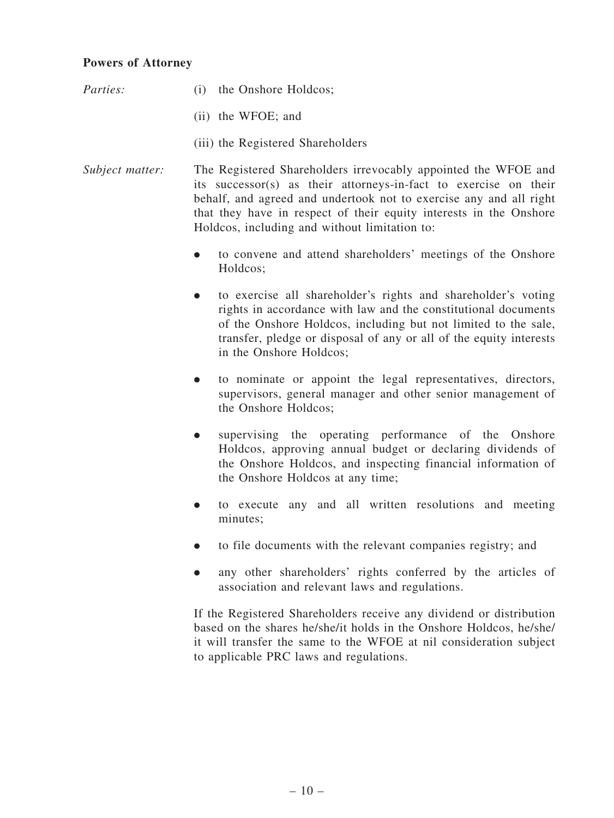## Powers of Attorney

- *Parties:* (i) the Onshore Holdcos: (ii) the WFOE; and (iii) the Registered Shareholders *Subject matter:* The Registered Shareholders irrevocably appointed the WFOE and its successor(s) as their attorneys-in-fact to exercise on their behalf, and agreed and undertook not to exercise any and all right that they have in respect of their equity interests in the Onshore Holdcos, including and without limitation to:
	- . to convene and attend shareholders' meetings of the Onshore Holdcos;
	- . to exercise all shareholder's rights and shareholder's voting rights in accordance with law and the constitutional documents of the Onshore Holdcos, including but not limited to the sale, transfer, pledge or disposal of any or all of the equity interests in the Onshore Holdcos;
	- . to nominate or appoint the legal representatives, directors, supervisors, general manager and other senior management of the Onshore Holdcos;
	- . supervising the operating performance of the Onshore Holdcos, approving annual budget or declaring dividends of the Onshore Holdcos, and inspecting financial information of the Onshore Holdcos at any time;
	- . to execute any and all written resolutions and meeting minutes;
	- . to file documents with the relevant companies registry; and
	- . any other shareholders' rights conferred by the articles of association and relevant laws and regulations.

If the Registered Shareholders receive any dividend or distribution based on the shares he/she/it holds in the Onshore Holdcos, he/she/ it will transfer the same to the WFOE at nil consideration subject to applicable PRC laws and regulations.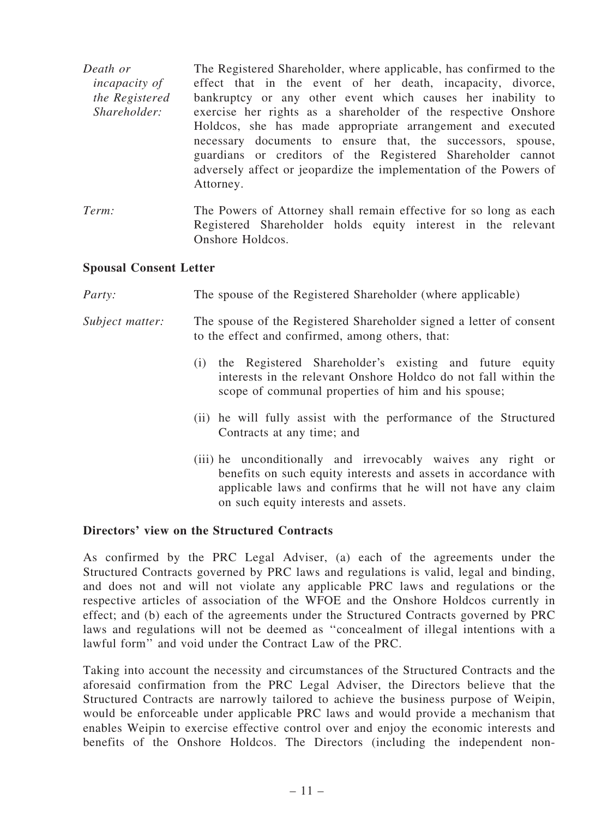*Death or incapacity of the Registered Shareholder:* The Registered Shareholder, where applicable, has confirmed to the effect that in the event of her death, incapacity, divorce, bankruptcy or any other event which causes her inability to exercise her rights as a shareholder of the respective Onshore Holdcos, she has made appropriate arrangement and executed necessary documents to ensure that, the successors, spouse, guardians or creditors of the Registered Shareholder cannot adversely affect or jeopardize the implementation of the Powers of Attorney.

*Term:* The Powers of Attorney shall remain effective for so long as each Registered Shareholder holds equity interest in the relevant Onshore Holdcos.

## Spousal Consent Letter

| <i>Party:</i> | The spouse of the Registered Shareholder (where applicable) |  |  |  |
|---------------|-------------------------------------------------------------|--|--|--|
|               |                                                             |  |  |  |

- *Subject matter:* The spouse of the Registered Shareholder signed a letter of consent to the effect and confirmed, among others, that:
	- (i) the Registered Shareholder's existing and future equity interests in the relevant Onshore Holdco do not fall within the scope of communal properties of him and his spouse;
	- (ii) he will fully assist with the performance of the Structured Contracts at any time; and
	- (iii) he unconditionally and irrevocably waives any right or benefits on such equity interests and assets in accordance with applicable laws and confirms that he will not have any claim on such equity interests and assets.

## Directors' view on the Structured Contracts

As confirmed by the PRC Legal Adviser, (a) each of the agreements under the Structured Contracts governed by PRC laws and regulations is valid, legal and binding, and does not and will not violate any applicable PRC laws and regulations or the respective articles of association of the WFOE and the Onshore Holdcos currently in effect; and (b) each of the agreements under the Structured Contracts governed by PRC laws and regulations will not be deemed as ''concealment of illegal intentions with a lawful form'' and void under the Contract Law of the PRC.

Taking into account the necessity and circumstances of the Structured Contracts and the aforesaid confirmation from the PRC Legal Adviser, the Directors believe that the Structured Contracts are narrowly tailored to achieve the business purpose of Weipin, would be enforceable under applicable PRC laws and would provide a mechanism that enables Weipin to exercise effective control over and enjoy the economic interests and benefits of the Onshore Holdcos. The Directors (including the independent non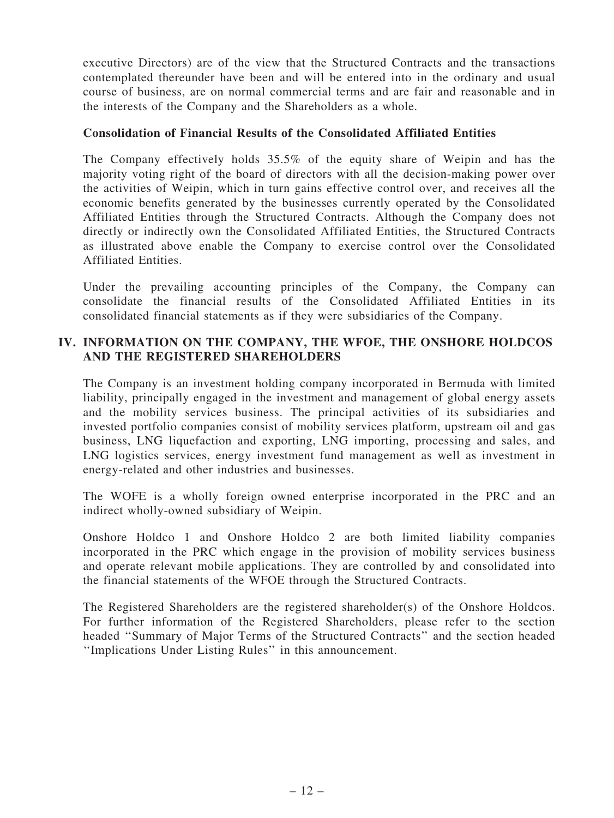executive Directors) are of the view that the Structured Contracts and the transactions contemplated thereunder have been and will be entered into in the ordinary and usual course of business, are on normal commercial terms and are fair and reasonable and in the interests of the Company and the Shareholders as a whole.

## Consolidation of Financial Results of the Consolidated Affiliated Entities

The Company effectively holds 35.5% of the equity share of Weipin and has the majority voting right of the board of directors with all the decision-making power over the activities of Weipin, which in turn gains effective control over, and receives all the economic benefits generated by the businesses currently operated by the Consolidated Affiliated Entities through the Structured Contracts. Although the Company does not directly or indirectly own the Consolidated Affiliated Entities, the Structured Contracts as illustrated above enable the Company to exercise control over the Consolidated Affiliated Entities.

Under the prevailing accounting principles of the Company, the Company can consolidate the financial results of the Consolidated Affiliated Entities in its consolidated financial statements as if they were subsidiaries of the Company.

## IV. INFORMATION ON THE COMPANY, THE WFOE, THE ONSHORE HOLDCOS AND THE REGISTERED SHAREHOLDERS

The Company is an investment holding company incorporated in Bermuda with limited liability, principally engaged in the investment and management of global energy assets and the mobility services business. The principal activities of its subsidiaries and invested portfolio companies consist of mobility services platform, upstream oil and gas business, LNG liquefaction and exporting, LNG importing, processing and sales, and LNG logistics services, energy investment fund management as well as investment in energy-related and other industries and businesses.

The WOFE is a wholly foreign owned enterprise incorporated in the PRC and an indirect wholly-owned subsidiary of Weipin.

Onshore Holdco 1 and Onshore Holdco 2 are both limited liability companies incorporated in the PRC which engage in the provision of mobility services business and operate relevant mobile applications. They are controlled by and consolidated into the financial statements of the WFOE through the Structured Contracts.

The Registered Shareholders are the registered shareholder(s) of the Onshore Holdcos. For further information of the Registered Shareholders, please refer to the section headed ''Summary of Major Terms of the Structured Contracts'' and the section headed ''Implications Under Listing Rules'' in this announcement.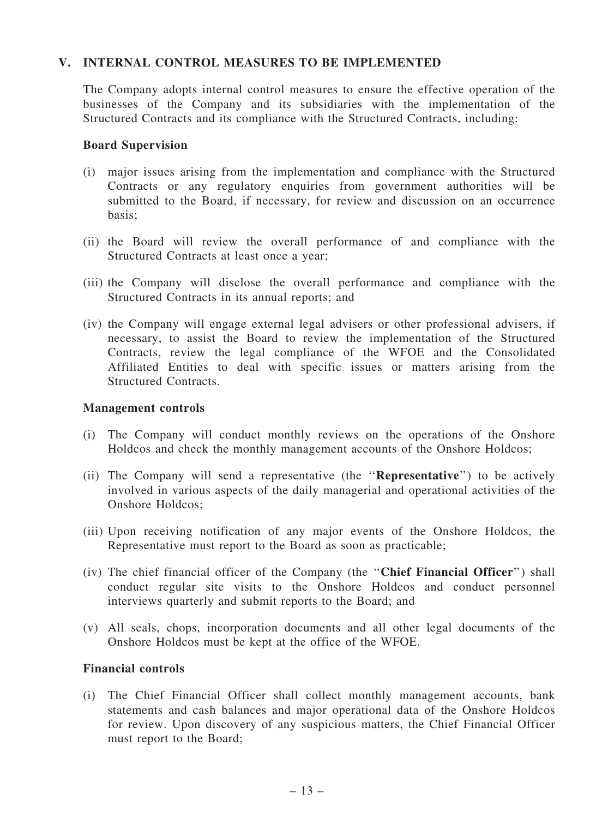## V. INTERNAL CONTROL MEASURES TO BE IMPLEMENTED

The Company adopts internal control measures to ensure the effective operation of the businesses of the Company and its subsidiaries with the implementation of the Structured Contracts and its compliance with the Structured Contracts, including:

#### Board Supervision

- (i) major issues arising from the implementation and compliance with the Structured Contracts or any regulatory enquiries from government authorities will be submitted to the Board, if necessary, for review and discussion on an occurrence basis;
- (ii) the Board will review the overall performance of and compliance with the Structured Contracts at least once a year;
- (iii) the Company will disclose the overall performance and compliance with the Structured Contracts in its annual reports; and
- (iv) the Company will engage external legal advisers or other professional advisers, if necessary, to assist the Board to review the implementation of the Structured Contracts, review the legal compliance of the WFOE and the Consolidated Affiliated Entities to deal with specific issues or matters arising from the Structured Contracts.

#### Management controls

- (i) The Company will conduct monthly reviews on the operations of the Onshore Holdcos and check the monthly management accounts of the Onshore Holdcos;
- (ii) The Company will send a representative (the ''Representative'') to be actively involved in various aspects of the daily managerial and operational activities of the Onshore Holdcos;
- (iii) Upon receiving notification of any major events of the Onshore Holdcos, the Representative must report to the Board as soon as practicable;
- (iv) The chief financial officer of the Company (the ''Chief Financial Officer'') shall conduct regular site visits to the Onshore Holdcos and conduct personnel interviews quarterly and submit reports to the Board; and
- (v) All seals, chops, incorporation documents and all other legal documents of the Onshore Holdcos must be kept at the office of the WFOE.

## Financial controls

(i) The Chief Financial Officer shall collect monthly management accounts, bank statements and cash balances and major operational data of the Onshore Holdcos for review. Upon discovery of any suspicious matters, the Chief Financial Officer must report to the Board;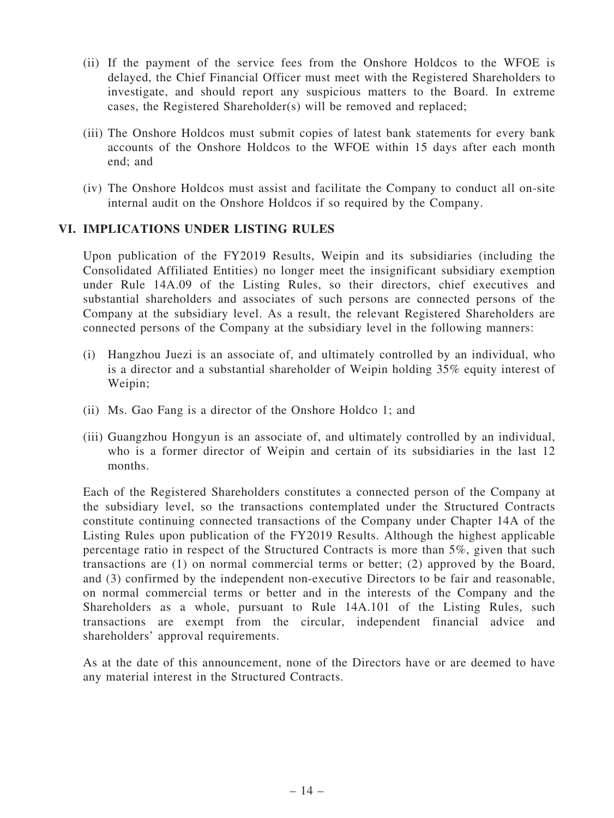- (ii) If the payment of the service fees from the Onshore Holdcos to the WFOE is delayed, the Chief Financial Officer must meet with the Registered Shareholders to investigate, and should report any suspicious matters to the Board. In extreme cases, the Registered Shareholder(s) will be removed and replaced;
- (iii) The Onshore Holdcos must submit copies of latest bank statements for every bank accounts of the Onshore Holdcos to the WFOE within 15 days after each month end; and
- (iv) The Onshore Holdcos must assist and facilitate the Company to conduct all on-site internal audit on the Onshore Holdcos if so required by the Company.

## VI. IMPLICATIONS UNDER LISTING RULES

Upon publication of the FY2019 Results, Weipin and its subsidiaries (including the Consolidated Affiliated Entities) no longer meet the insignificant subsidiary exemption under Rule 14A.09 of the Listing Rules, so their directors, chief executives and substantial shareholders and associates of such persons are connected persons of the Company at the subsidiary level. As a result, the relevant Registered Shareholders are connected persons of the Company at the subsidiary level in the following manners:

- (i) Hangzhou Juezi is an associate of, and ultimately controlled by an individual, who is a director and a substantial shareholder of Weipin holding 35% equity interest of Weipin;
- (ii) Ms. Gao Fang is a director of the Onshore Holdco 1; and
- (iii) Guangzhou Hongyun is an associate of, and ultimately controlled by an individual, who is a former director of Weipin and certain of its subsidiaries in the last 12 months.

Each of the Registered Shareholders constitutes a connected person of the Company at the subsidiary level, so the transactions contemplated under the Structured Contracts constitute continuing connected transactions of the Company under Chapter 14A of the Listing Rules upon publication of the FY2019 Results. Although the highest applicable percentage ratio in respect of the Structured Contracts is more than 5%, given that such transactions are (1) on normal commercial terms or better; (2) approved by the Board, and (3) confirmed by the independent non-executive Directors to be fair and reasonable, on normal commercial terms or better and in the interests of the Company and the Shareholders as a whole, pursuant to Rule 14A.101 of the Listing Rules, such transactions are exempt from the circular, independent financial advice and shareholders' approval requirements.

As at the date of this announcement, none of the Directors have or are deemed to have any material interest in the Structured Contracts.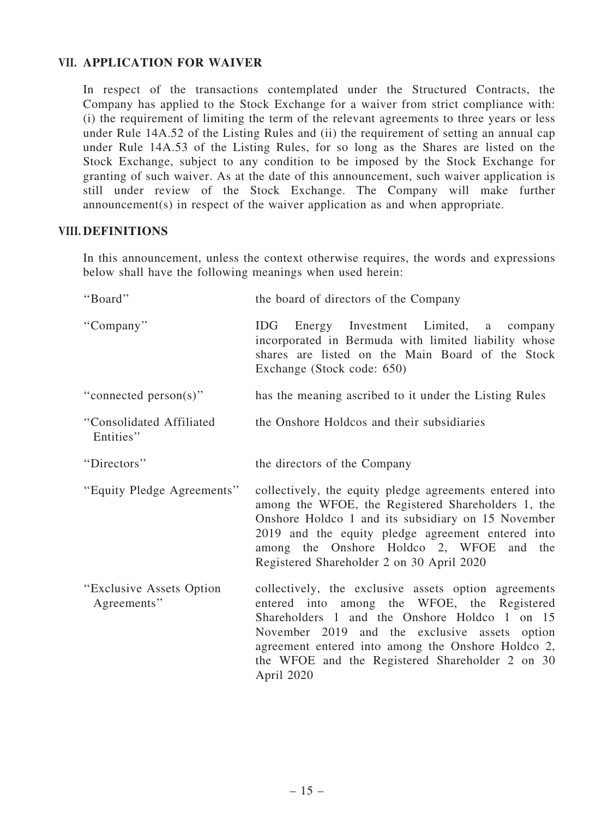## VII. APPLICATION FOR WAIVER

In respect of the transactions contemplated under the Structured Contracts, the Company has applied to the Stock Exchange for a waiver from strict compliance with: (i) the requirement of limiting the term of the relevant agreements to three years or less under Rule 14A.52 of the Listing Rules and (ii) the requirement of setting an annual cap under Rule 14A.53 of the Listing Rules, for so long as the Shares are listed on the Stock Exchange, subject to any condition to be imposed by the Stock Exchange for granting of such waiver. As at the date of this announcement, such waiver application is still under review of the Stock Exchange. The Company will make further announcement(s) in respect of the waiver application as and when appropriate.

## VIII. DEFINITIONS

In this announcement, unless the context otherwise requires, the words and expressions below shall have the following meanings when used herein:

| "Board"                                  | the board of directors of the Company                                                                                                                                                                                                                                                                                        |
|------------------------------------------|------------------------------------------------------------------------------------------------------------------------------------------------------------------------------------------------------------------------------------------------------------------------------------------------------------------------------|
| "Company"                                | IDG<br>Energy Investment Limited, a company<br>incorporated in Bermuda with limited liability whose<br>shares are listed on the Main Board of the Stock<br>Exchange (Stock code: 650)                                                                                                                                        |
| "connected person(s)"                    | has the meaning ascribed to it under the Listing Rules                                                                                                                                                                                                                                                                       |
| "Consolidated Affiliated<br>Entities"    | the Onshore Holdcos and their subsidiaries                                                                                                                                                                                                                                                                                   |
| "Directors"                              | the directors of the Company                                                                                                                                                                                                                                                                                                 |
| "Equity Pledge Agreements"               | collectively, the equity pledge agreements entered into<br>among the WFOE, the Registered Shareholders 1, the<br>Onshore Holdco 1 and its subsidiary on 15 November<br>2019 and the equity pledge agreement entered into<br>among the Onshore Holdco 2, WFOE<br>and the<br>Registered Shareholder 2 on 30 April 2020         |
| "Exclusive Assets Option"<br>Agreements" | collectively, the exclusive assets option agreements<br>entered into among the WFOE, the Registered<br>Shareholders 1 and the Onshore Holdco 1 on 15<br>November 2019 and the exclusive assets option<br>agreement entered into among the Onshore Holdco 2,<br>the WFOE and the Registered Shareholder 2 on 30<br>April 2020 |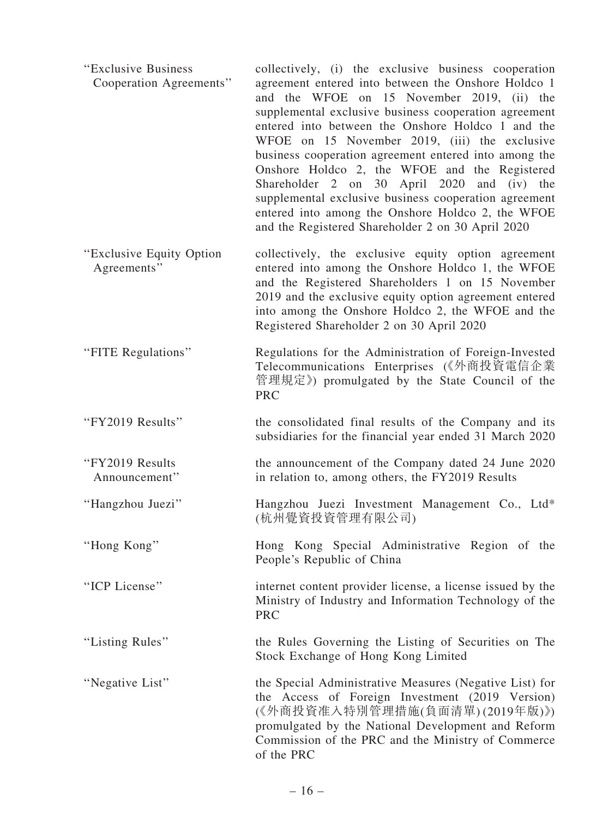| "Exclusive Business<br>Cooperation Agreements" | collectively, (i) the exclusive business cooperation<br>agreement entered into between the Onshore Holdco 1<br>and the WFOE on 15 November 2019, (ii) the<br>supplemental exclusive business cooperation agreement<br>entered into between the Onshore Holdco 1 and the<br>WFOE on 15 November 2019, (iii) the exclusive<br>business cooperation agreement entered into among the<br>Onshore Holdco 2, the WFOE and the Registered<br>Shareholder 2 on 30 April 2020 and (iv) the<br>supplemental exclusive business cooperation agreement<br>entered into among the Onshore Holdco 2, the WFOE<br>and the Registered Shareholder 2 on 30 April 2020 |
|------------------------------------------------|------------------------------------------------------------------------------------------------------------------------------------------------------------------------------------------------------------------------------------------------------------------------------------------------------------------------------------------------------------------------------------------------------------------------------------------------------------------------------------------------------------------------------------------------------------------------------------------------------------------------------------------------------|
| "Exclusive Equity Option"<br>Agreements"       | collectively, the exclusive equity option agreement<br>entered into among the Onshore Holdco 1, the WFOE<br>and the Registered Shareholders 1 on 15 November<br>2019 and the exclusive equity option agreement entered<br>into among the Onshore Holdco 2, the WFOE and the<br>Registered Shareholder 2 on 30 April 2020                                                                                                                                                                                                                                                                                                                             |
| "FITE Regulations"                             | Regulations for the Administration of Foreign-Invested<br>Telecommunications Enterprises (《外商投資電信企業<br>管理規定》) promulgated by the State Council of the<br><b>PRC</b>                                                                                                                                                                                                                                                                                                                                                                                                                                                                                  |
| "FY2019 Results"                               | the consolidated final results of the Company and its<br>subsidiaries for the financial year ended 31 March 2020                                                                                                                                                                                                                                                                                                                                                                                                                                                                                                                                     |
| "FY2019 Results<br>Announcement"               | the announcement of the Company dated 24 June 2020<br>in relation to, among others, the FY2019 Results                                                                                                                                                                                                                                                                                                                                                                                                                                                                                                                                               |
| "Hangzhou Juezi"                               | Hangzhou Juezi Investment Management Co., Ltd*<br>(杭州覺資投資管理有限公司)                                                                                                                                                                                                                                                                                                                                                                                                                                                                                                                                                                                     |
| "Hong Kong"                                    | Hong Kong Special Administrative Region of the<br>People's Republic of China                                                                                                                                                                                                                                                                                                                                                                                                                                                                                                                                                                         |
| "ICP License"                                  | internet content provider license, a license issued by the<br>Ministry of Industry and Information Technology of the<br><b>PRC</b>                                                                                                                                                                                                                                                                                                                                                                                                                                                                                                                   |
| "Listing Rules"                                | the Rules Governing the Listing of Securities on The<br>Stock Exchange of Hong Kong Limited                                                                                                                                                                                                                                                                                                                                                                                                                                                                                                                                                          |
| "Negative List"                                | the Special Administrative Measures (Negative List) for<br>the Access of Foreign Investment (2019 Version)<br>(《外商投資准入特別管理措施(負面清單)(2019年版)》)<br>promulgated by the National Development and Reform<br>Commission of the PRC and the Ministry of Commerce<br>of the PRC                                                                                                                                                                                                                                                                                                                                                                               |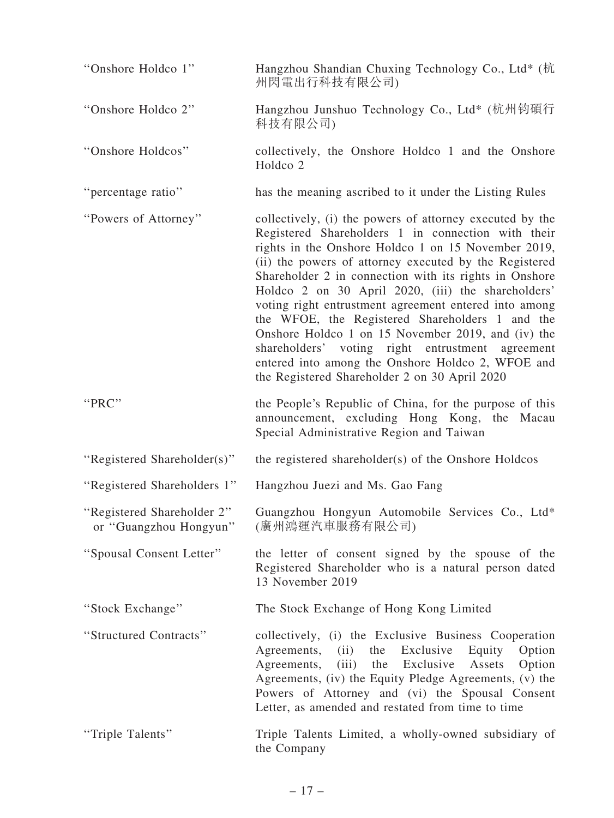| "Onshore Holdco 1"                                   | Hangzhou Shandian Chuxing Technology Co., Ltd* (杭<br>州閃電出行科技有限公司)                                                                                                                                                                                                                                                                                                                                                                                                                                                                                                                                                                                                           |
|------------------------------------------------------|-----------------------------------------------------------------------------------------------------------------------------------------------------------------------------------------------------------------------------------------------------------------------------------------------------------------------------------------------------------------------------------------------------------------------------------------------------------------------------------------------------------------------------------------------------------------------------------------------------------------------------------------------------------------------------|
| "Onshore Holdco 2"                                   | Hangzhou Junshuo Technology Co., Ltd* (杭州钧碩行<br>科技有限公司)                                                                                                                                                                                                                                                                                                                                                                                                                                                                                                                                                                                                                     |
| "Onshore Holdcos"                                    | collectively, the Onshore Holdco 1 and the Onshore<br>Holdco <sub>2</sub>                                                                                                                                                                                                                                                                                                                                                                                                                                                                                                                                                                                                   |
| "percentage ratio"                                   | has the meaning ascribed to it under the Listing Rules                                                                                                                                                                                                                                                                                                                                                                                                                                                                                                                                                                                                                      |
| "Powers of Attorney"                                 | collectively, (i) the powers of attorney executed by the<br>Registered Shareholders 1 in connection with their<br>rights in the Onshore Holdco 1 on 15 November 2019,<br>(ii) the powers of attorney executed by the Registered<br>Shareholder 2 in connection with its rights in Onshore<br>Holdco 2 on 30 April 2020, (iii) the shareholders'<br>voting right entrustment agreement entered into among<br>the WFOE, the Registered Shareholders 1 and the<br>Onshore Holdco 1 on 15 November 2019, and (iv) the<br>shareholders' voting right entrustment agreement<br>entered into among the Onshore Holdco 2, WFOE and<br>the Registered Shareholder 2 on 30 April 2020 |
| "PRC"                                                | the People's Republic of China, for the purpose of this<br>announcement, excluding Hong Kong, the Macau<br>Special Administrative Region and Taiwan                                                                                                                                                                                                                                                                                                                                                                                                                                                                                                                         |
| "Registered Shareholder(s)"                          | the registered shareholder(s) of the Onshore Holdcos                                                                                                                                                                                                                                                                                                                                                                                                                                                                                                                                                                                                                        |
| "Registered Shareholders 1"                          | Hangzhou Juezi and Ms. Gao Fang                                                                                                                                                                                                                                                                                                                                                                                                                                                                                                                                                                                                                                             |
| "Registered Shareholder 2"<br>or "Guangzhou Hongyun" | Guangzhou Hongyun Automobile Services Co., Ltd*<br>(廣州鴻運汽車服務有限公司)                                                                                                                                                                                                                                                                                                                                                                                                                                                                                                                                                                                                           |
| "Spousal Consent Letter"                             | the letter of consent signed by the spouse of the<br>Registered Shareholder who is a natural person dated<br>13 November 2019                                                                                                                                                                                                                                                                                                                                                                                                                                                                                                                                               |
| "Stock Exchange"                                     | The Stock Exchange of Hong Kong Limited                                                                                                                                                                                                                                                                                                                                                                                                                                                                                                                                                                                                                                     |
| "Structured Contracts"                               | collectively, (i) the Exclusive Business Cooperation<br>Agreements, (ii) the Exclusive<br>Equity Option<br>Option<br>(iii) the Exclusive<br>Agreements,<br>Assets<br>Agreements, (iv) the Equity Pledge Agreements, (v) the<br>Powers of Attorney and (vi) the Spousal Consent<br>Letter, as amended and restated from time to time                                                                                                                                                                                                                                                                                                                                         |
| "Triple Talents"                                     | Triple Talents Limited, a wholly-owned subsidiary of<br>the Company                                                                                                                                                                                                                                                                                                                                                                                                                                                                                                                                                                                                         |